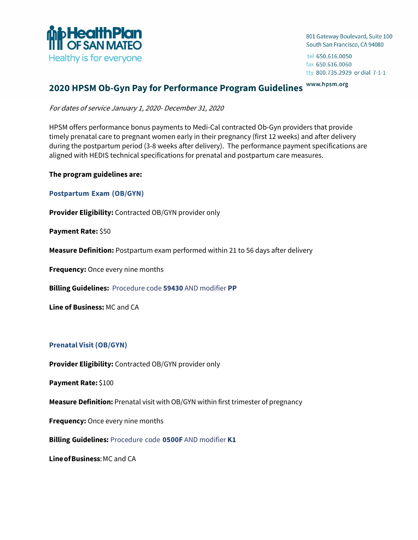

801 Gateway Boulevard, Suite 100 South San Francisco, CA 94080

tel 650.616.0050 fax 650.616.0060 tty 800.735.2929 or dial 7-1-1

#### www.hpsm.org **2020 HPSM Ob-Gyn Pay for Performance Program Guidelines**

For dates of service January 1, 2020- December 31, 2020

HPSM offers performance bonus payments to Medi-Cal contracted Ob-Gyn providers that provide timely prenatal care to pregnant women early in their pregnancy (first 12 weeks) and after delivery during the postpartum period (3-8 weeks after delivery). The performance payment specifications are aligned with HEDIS technical specifications for prenatal and postpartum care measures.

### **The program guidelines are:**

**Postpartum Exam (OB/GYN)** 

**Provider Eligibility:** Contracted OB/GYN provider only

**Payment Rate:** \$50

**Measure Definition:** Postpartum exam performed within 21 to 56 days after delivery

**Frequency:** Once every nine months

**Billing Guidelines:** Procedure code **59430** AND modifier **PP**

**Line of Business:** MC and CA

### **Prenatal Visit (OB/GYN)**

**Provider Eligibility:** Contracted OB/GYN provider only

**Payment Rate:** \$100

**Measure Definition:** Prenatal visit with OB/GYN within first trimester of pregnancy

**Frequency:** Once every nine months

**Billing Guidelines:** Procedure code **0500F** AND modifier **K1**

**Line of Business: MC and CA**